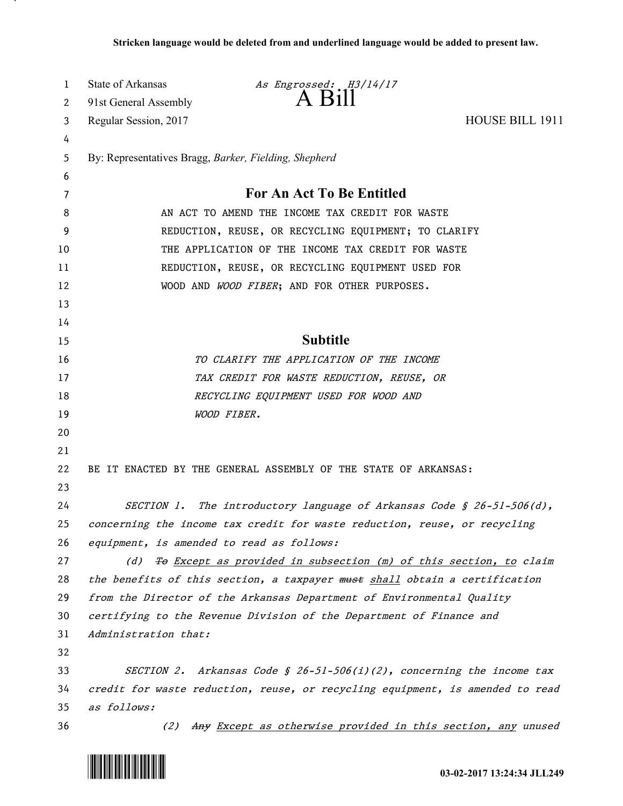| 1  | State of Arkansas                                     | As Engrossed: H3/14/17                                                        |                 |
|----|-------------------------------------------------------|-------------------------------------------------------------------------------|-----------------|
| 2  | 91st General Assembly                                 | $A$ Bill                                                                      |                 |
| 3  | Regular Session, 2017                                 |                                                                               | HOUSE BILL 1911 |
| 4  |                                                       |                                                                               |                 |
| 5  | By: Representatives Bragg, Barker, Fielding, Shepherd |                                                                               |                 |
| 6  |                                                       |                                                                               |                 |
| 7  |                                                       | For An Act To Be Entitled                                                     |                 |
| 8  |                                                       | AN ACT TO AMEND THE INCOME TAX CREDIT FOR WASTE                               |                 |
| 9  | REDUCTION, REUSE, OR RECYCLING EQUIPMENT; TO CLARIFY  |                                                                               |                 |
| 10 |                                                       | THE APPLICATION OF THE INCOME TAX CREDIT FOR WASTE                            |                 |
| 11 |                                                       | REDUCTION, REUSE, OR RECYCLING EQUIPMENT USED FOR                             |                 |
| 12 |                                                       | WOOD AND WOOD FIBER; AND FOR OTHER PURPOSES.                                  |                 |
| 13 |                                                       |                                                                               |                 |
| 14 |                                                       |                                                                               |                 |
| 15 |                                                       | <b>Subtitle</b>                                                               |                 |
| 16 |                                                       | TO CLARIFY THE APPLICATION OF THE INCOME                                      |                 |
| 17 |                                                       | TAX CREDIT FOR WASTE REDUCTION, REUSE, OR                                     |                 |
| 18 |                                                       | RECYCLING EQUIPMENT USED FOR WOOD AND                                         |                 |
| 19 |                                                       | WOOD FIBER.                                                                   |                 |
| 20 |                                                       |                                                                               |                 |
| 21 |                                                       |                                                                               |                 |
| 22 |                                                       | BE IT ENACTED BY THE GENERAL ASSEMBLY OF THE STATE OF ARKANSAS:               |                 |
| 23 |                                                       |                                                                               |                 |
| 24 |                                                       | SECTION 1. The introductory language of Arkansas Code § 26-51-506(d),         |                 |
| 25 |                                                       | concerning the income tax credit for waste reduction, reuse, or recycling     |                 |
| 26 | equipment, is amended to read as follows:             |                                                                               |                 |
| 27 | (d)                                                   | To Except as provided in subsection (m) of this section, to claim             |                 |
| 28 |                                                       | the benefits of this section, a taxpayer must shall obtain a certification    |                 |
| 29 |                                                       | from the Director of the Arkansas Department of Environmental Quality         |                 |
| 30 |                                                       | certifying to the Revenue Division of the Department of Finance and           |                 |
| 31 | Administration that:                                  |                                                                               |                 |
| 32 |                                                       |                                                                               |                 |
| 33 |                                                       | SECTION 2. Arkansas Code § 26-51-506(1)(2), concerning the income tax         |                 |
| 34 |                                                       | credit for waste reduction, reuse, or recycling equipment, is amended to read |                 |
| 35 | as follows:                                           |                                                                               |                 |
| 36 | (2)                                                   | Any Except as otherwise provided in this section, any unused                  |                 |



.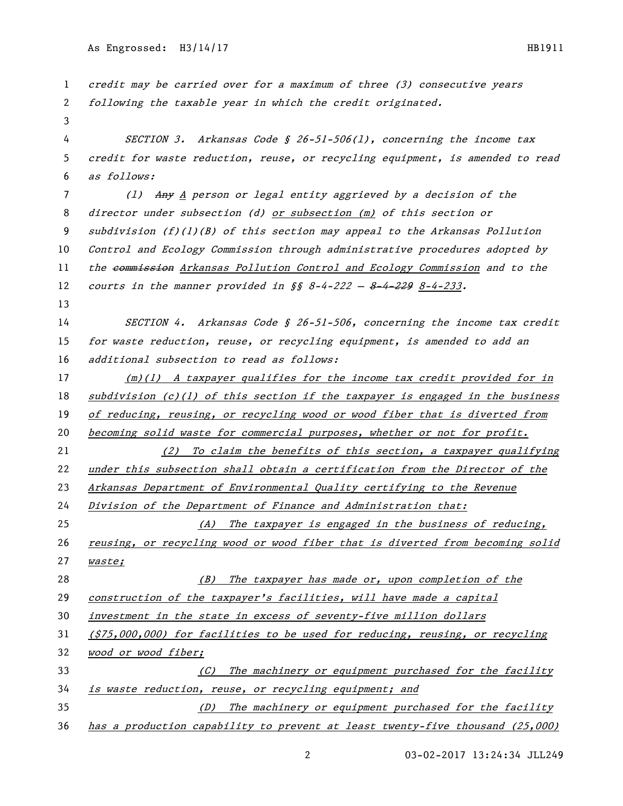| 1  | credit may be carried over for a maximum of three (3) consecutive years         |
|----|---------------------------------------------------------------------------------|
| 2  | following the taxable year in which the credit originated.                      |
| 3  |                                                                                 |
| 4  | SECTION 3. Arkansas Code § 26-51-506(1), concerning the income tax              |
| 5  | credit for waste reduction, reuse, or recycling equipment, is amended to read   |
| 6  | as follows:                                                                     |
| 7  | (1) Any A person or legal entity aggrieved by a decision of the                 |
| 8  | director under subsection (d) or subsection (m) of this section or              |
| 9  | subdivision $(f)(1)(B)$ of this section may appeal to the Arkansas Pollution    |
| 10 | Control and Ecology Commission through administrative procedures adopted by     |
| 11 | the eommission Arkansas Pollution Control and Ecology Commission and to the     |
| 12 | courts in the manner provided in $\S$ 8-4-222 - 8-4-229 8-4-233.                |
| 13 |                                                                                 |
| 14 | SECTION 4. Arkansas Code § 26-51-506, concerning the income tax credit          |
| 15 | for waste reduction, reuse, or recycling equipment, is amended to add an        |
| 16 | additional subsection to read as follows:                                       |
| 17 | $(m)(1)$ A taxpayer qualifies for the income tax credit provided for in         |
| 18 | $subdivision (c)(1)$ of this section if the taxpayer is engaged in the business |
| 19 | of reducing, reusing, or recycling wood or wood fiber that is diverted from     |
| 20 | becoming solid waste for commercial purposes, whether or not for profit.        |
| 21 | To claim the benefits of this section, a taxpayer qualifying<br>(2)             |
| 22 | under this subsection shall obtain a certification from the Director of the     |
| 23 | Arkansas Department of Environmental Quality certifying to the Revenue          |
| 24 | Division of the Department of Finance and Administration that:                  |
| 25 | (A) The taxpayer is engaged in the business of reducing,                        |
| 26 | reusing, or recycling wood or wood fiber that is diverted from becoming solid   |
| 27 | waste;                                                                          |
| 28 | The taxpayer has made or, upon completion of the<br>(B)                         |
| 29 | construction of the taxpayer's facilities, will have made a capital             |
| 30 | investment in the state in excess of seventy-five million dollars               |
| 31 | $(375,000,000)$ for facilities to be used for reducing, reusing, or recycling   |
| 32 | wood or wood fiber;                                                             |
| 33 | The machinery or equipment purchased for the facility<br>(C)                    |
| 34 | is waste reduction, reuse, or recycling equipment; and                          |
| 35 | The machinery or equipment purchased for the facility<br>(D)                    |
| 36 | has a production capability to prevent at least twenty-five thousand (25,000)   |

2 03-02-2017 13:24:34 JLL249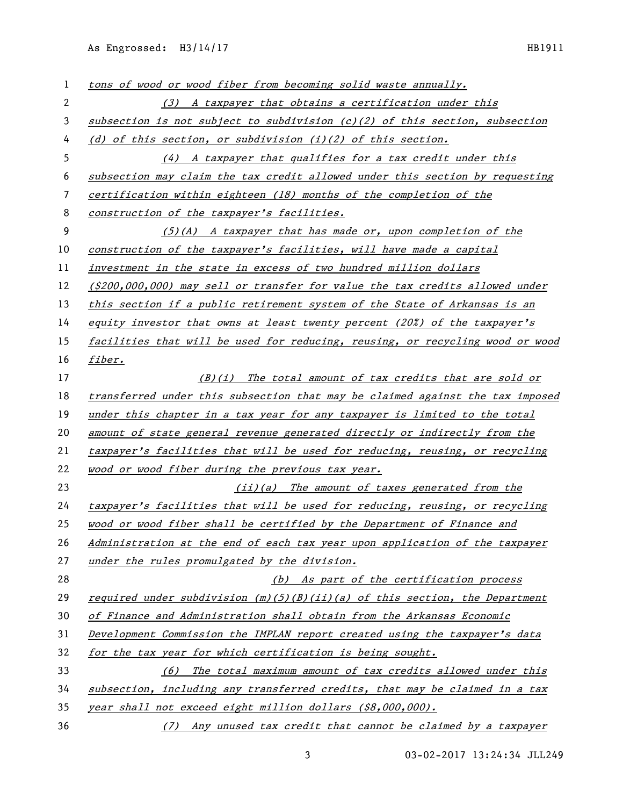As Engrossed: H3/14/17 HB1911

| 1  | tons of wood or wood fiber from becoming solid waste annually.                |
|----|-------------------------------------------------------------------------------|
| 2  | (3) A taxpayer that obtains a certification under this                        |
| 3  | subsection is not subject to subdivision (c)(2) of this section, subsection   |
| 4  | (d) of this section, or subdivision $(i)(2)$ of this section.                 |
| 5  | (4) A taxpayer that qualifies for a tax credit under this                     |
| 6  | subsection may claim the tax credit allowed under this section by requesting  |
| 7  | certification within eighteen (18) months of the completion of the            |
| 8  | construction of the taxpayer's facilities.                                    |
| 9  | $(5)(A)$ A taxpayer that has made or, upon completion of the                  |
| 10 | construction of the taxpayer's facilities, will have made a capital           |
| 11 | investment in the state in excess of two hundred million dollars              |
| 12 | (\$200,000,000) may sell or transfer for value the tax credits allowed under  |
| 13 | this section if a public retirement system of the State of Arkansas is an     |
| 14 | equity investor that owns at least twenty percent (20%) of the taxpayer's     |
| 15 | facilities that will be used for reducing, reusing, or recycling wood or wood |
| 16 | fiber.                                                                        |
| 17 | $(B)(i)$ The total amount of tax credits that are sold or                     |
| 18 | transferred under this subsection that may be claimed against the tax imposed |
| 19 | under this chapter in a tax year for any taxpayer is limited to the total     |
| 20 | amount of state general revenue generated directly or indirectly from the     |
| 21 | taxpayer's facilities that will be used for reducing, reusing, or recycling   |
| 22 | wood or wood fiber during the previous tax year.                              |
| 23 | (ii)(a) The amount of taxes generated from the                                |
| 24 | taxpayer's facilities that will be used for reducing, reusing, or recycling   |
| 25 | wood or wood fiber shall be certified by the Department of Finance and        |
| 26 | Administration at the end of each tax year upon application of the taxpayer   |
| 27 | under the rules promulgated by the division.                                  |
| 28 | (b) As part of the certification process                                      |
| 29 | required under subdivision $(m)(5)(B)(ii)(a)$ of this section, the Department |
| 30 | of Finance and Administration shall obtain from the Arkansas Economic         |
| 31 | Development Commission the IMPLAN report created using the taxpayer's data    |
| 32 | for the tax year for which certification is being sought.                     |
| 33 | (6) The total maximum amount of tax credits allowed under this                |
| 34 | subsection, including any transferred credits, that may be claimed in a tax   |
| 35 | year shall not exceed eight million dollars (\$8,000,000).                    |
| 36 | (7) Any unused tax credit that cannot be claimed by a taxpayer                |

03-02-2017 13:24:34 JLL249